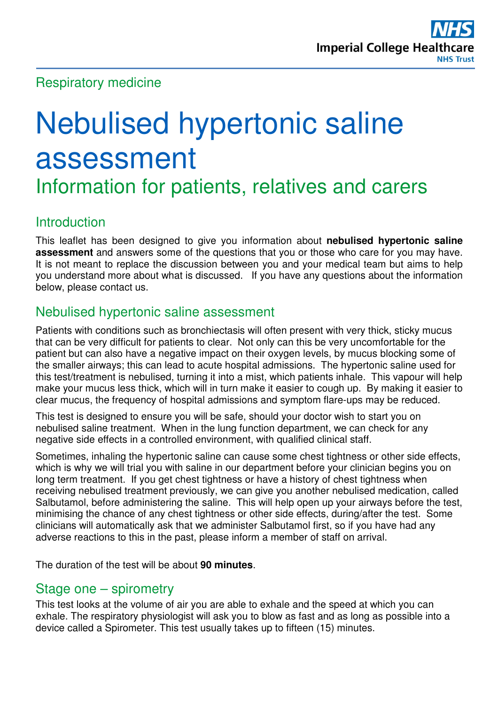# Respiratory medicine

# Nebulised hypertonic saline assessment Information for patients, relatives and carers

# **Introduction**

This leaflet has been designed to give you information about **nebulised hypertonic saline assessment** and answers some of the questions that you or those who care for you may have. It is not meant to replace the discussion between you and your medical team but aims to help you understand more about what is discussed. If you have any questions about the information below, please contact us.

## Nebulised hypertonic saline assessment

Patients with conditions such as bronchiectasis will often present with very thick, sticky mucus that can be very difficult for patients to clear. Not only can this be very uncomfortable for the patient but can also have a negative impact on their oxygen levels, by mucus blocking some of the smaller airways; this can lead to acute hospital admissions. The hypertonic saline used for this test/treatment is nebulised, turning it into a mist, which patients inhale. This vapour will help make your mucus less thick, which will in turn make it easier to cough up. By making it easier to clear mucus, the frequency of hospital admissions and symptom flare-ups may be reduced.

This test is designed to ensure you will be safe, should your doctor wish to start you on nebulised saline treatment. When in the lung function department, we can check for any negative side effects in a controlled environment, with qualified clinical staff.

Sometimes, inhaling the hypertonic saline can cause some chest tightness or other side effects, which is why we will trial you with saline in our department before your clinician begins you on long term treatment. If you get chest tightness or have a history of chest tightness when receiving nebulised treatment previously, we can give you another nebulised medication, called Salbutamol, before administering the saline. This will help open up your airways before the test, minimising the chance of any chest tightness or other side effects, during/after the test. Some clinicians will automatically ask that we administer Salbutamol first, so if you have had any adverse reactions to this in the past, please inform a member of staff on arrival.

The duration of the test will be about **90 minutes**.

### Stage one – spirometry

This test looks at the volume of air you are able to exhale and the speed at which you can exhale. The respiratory physiologist will ask you to blow as fast and as long as possible into a device called a Spirometer. This test usually takes up to fifteen (15) minutes.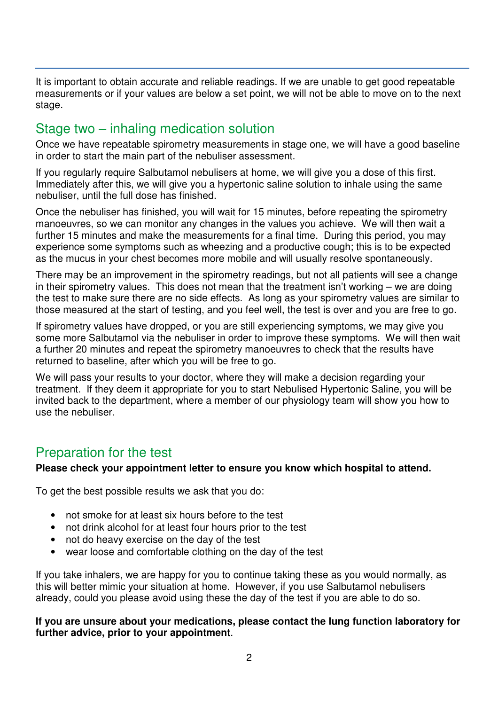It is important to obtain accurate and reliable readings. If we are unable to get good repeatable measurements or if your values are below a set point, we will not be able to move on to the next stage.

# Stage two – inhaling medication solution

Once we have repeatable spirometry measurements in stage one, we will have a good baseline in order to start the main part of the nebuliser assessment.

If you regularly require Salbutamol nebulisers at home, we will give you a dose of this first. Immediately after this, we will give you a hypertonic saline solution to inhale using the same nebuliser, until the full dose has finished.

Once the nebuliser has finished, you will wait for 15 minutes, before repeating the spirometry manoeuvres, so we can monitor any changes in the values you achieve. We will then wait a further 15 minutes and make the measurements for a final time. During this period, you may experience some symptoms such as wheezing and a productive cough; this is to be expected as the mucus in your chest becomes more mobile and will usually resolve spontaneously.

There may be an improvement in the spirometry readings, but not all patients will see a change in their spirometry values. This does not mean that the treatment isn't working – we are doing the test to make sure there are no side effects. As long as your spirometry values are similar to those measured at the start of testing, and you feel well, the test is over and you are free to go.

If spirometry values have dropped, or you are still experiencing symptoms, we may give you some more Salbutamol via the nebuliser in order to improve these symptoms. We will then wait a further 20 minutes and repeat the spirometry manoeuvres to check that the results have returned to baseline, after which you will be free to go.

We will pass your results to your doctor, where they will make a decision regarding your treatment. If they deem it appropriate for you to start Nebulised Hypertonic Saline, you will be invited back to the department, where a member of our physiology team will show you how to use the nebuliser.

# Preparation for the test

#### **Please check your appointment letter to ensure you know which hospital to attend.**

To get the best possible results we ask that you do:

- not smoke for at least six hours before to the test
- not drink alcohol for at least four hours prior to the test
- not do heavy exercise on the day of the test
- wear loose and comfortable clothing on the day of the test

If you take inhalers, we are happy for you to continue taking these as you would normally, as this will better mimic your situation at home. However, if you use Salbutamol nebulisers already, could you please avoid using these the day of the test if you are able to do so.

#### **If you are unsure about your medications, please contact the lung function laboratory for further advice, prior to your appointment**.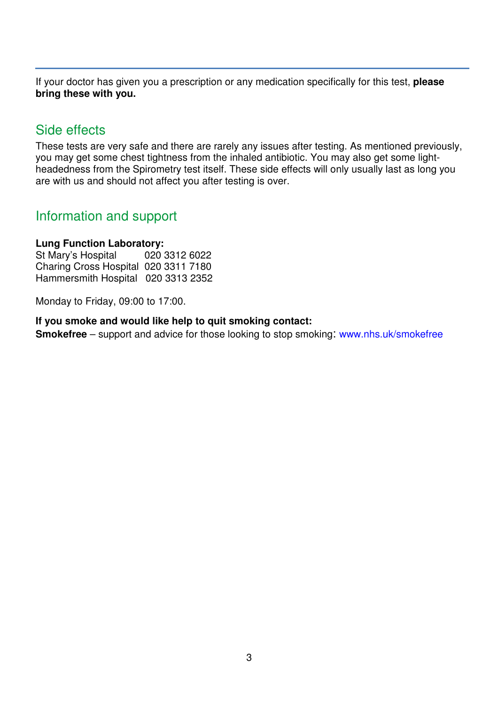If your doctor has given you a prescription or any medication specifically for this test, **please bring these with you.** 

## Side effects

These tests are very safe and there are rarely any issues after testing. As mentioned previously, you may get some chest tightness from the inhaled antibiotic. You may also get some lightheadedness from the Spirometry test itself. These side effects will only usually last as long you are with us and should not affect you after testing is over.

## Information and support

#### **Lung Function Laboratory:**

St Mary's Hospital 020 3312 6022 Charing Cross Hospital 020 3311 7180 Hammersmith Hospital 020 3313 2352

Monday to Friday, 09:00 to 17:00.

#### **If you smoke and would like help to quit smoking contact:**

**Smokefree** – support and advice for those looking to stop smoking: www.nhs.uk/smokefree